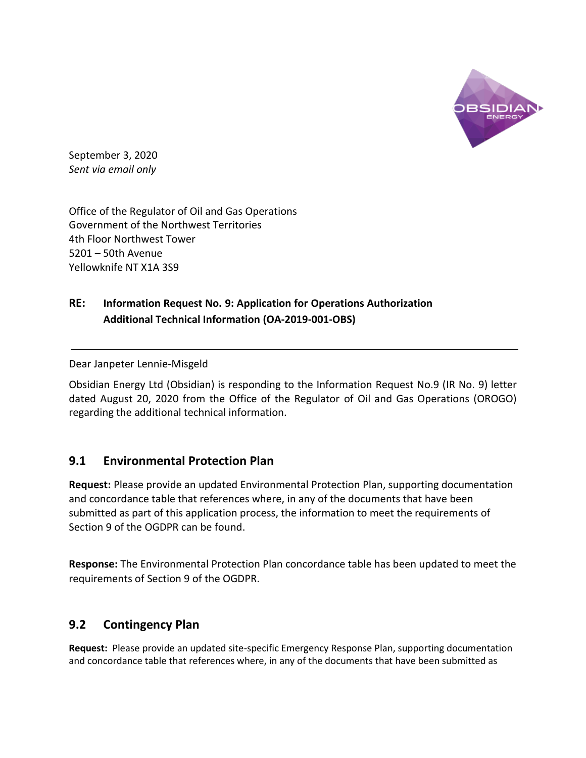

September 3, 2020 *Sent via email only*

Office of the Regulator of Oil and Gas Operations Government of the Northwest Territories 4th Floor Northwest Tower 5201 – 50th Avenue Yellowknife NT X1A 3S9

## **RE: Information Request No. 9: Application for Operations Authorization Additional Technical Information (OA-2019-001-OBS)**

Dear Janpeter Lennie-Misgeld

Obsidian Energy Ltd (Obsidian) is responding to the Information Request No.9 (IR No. 9) letter dated August 20, 2020 from the Office of the Regulator of Oil and Gas Operations (OROGO) regarding the additional technical information.

## **9.1 Environmental Protection Plan**

**Request:** Please provide an updated Environmental Protection Plan, supporting documentation and concordance table that references where, in any of the documents that have been submitted as part of this application process, the information to meet the requirements of Section 9 of the OGDPR can be found.

**Response:** The Environmental Protection Plan concordance table has been updated to meet the requirements of Section 9 of the OGDPR.

## **9.2 Contingency Plan**

**Request:** Please provide an updated site-specific Emergency Response Plan, supporting documentation and concordance table that references where, in any of the documents that have been submitted as